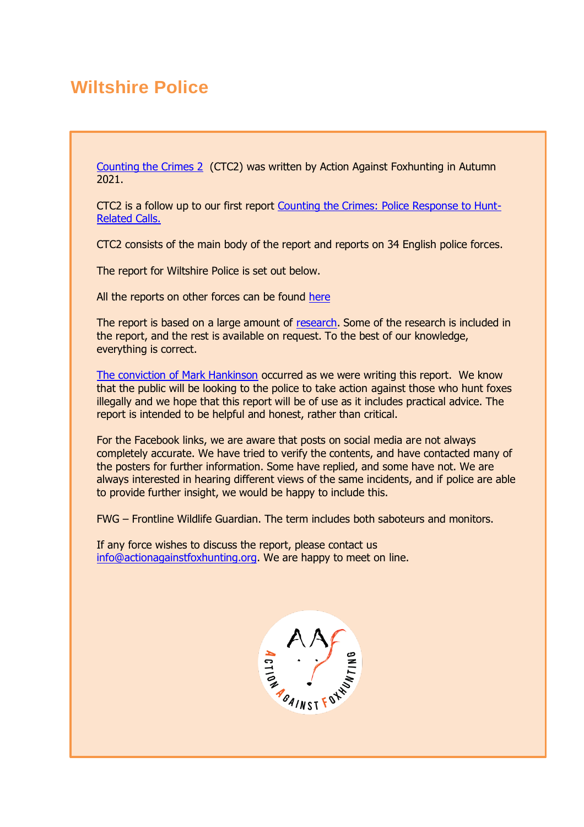# **Wiltshire Police**

[Counting the Crimes 2](https://www.actionagainstfoxhunting.org/counting-the-crimes2-the-police-response/) (CTC2) was written by Action Against Foxhunting in Autumn 2021.

CTC2 is a follow up to our first report [Counting the Crimes: Police Response to Hunt-](https://www.actionagainstfoxhunting.org/counting-the-crimes/)[Related Calls.](https://www.actionagainstfoxhunting.org/counting-the-crimes/)

CTC2 consists of the main body of the report and reports on 34 English police forces.

The report for Wiltshire Police is set out below.

All the reports on other forces can be found [here](https://www.actionagainstfoxhunting.org/counting-the-crimes2-the-police-response/)

The report is based on a large amount of [research.](https://www.actionagainstfoxhunting.org/wp-content/uploads/2021/11/A-1411-Research-for-CTC2.pdf) Some of the research is included in the report, and the rest is available on request. To the best of our knowledge, everything is correct.

[The conviction of Mark Hankinson](https://www.league.org.uk/news-and-resources/news/hunting-office-webinars-the-road-to-conviction/) occurred as we were writing this report. We know that the public will be looking to the police to take action against those who hunt foxes illegally and we hope that this report will be of use as it includes practical advice. The report is intended to be helpful and honest, rather than critical.

For the Facebook links, we are aware that posts on social media are not always completely accurate. We have tried to verify the contents, and have contacted many of the posters for further information. Some have replied, and some have not. We are always interested in hearing different views of the same incidents, and if police are able to provide further insight, we would be happy to include this.

FWG – Frontline Wildlife Guardian. The term includes both saboteurs and monitors.

If any force wishes to discuss the report, please contact us [info@actionagainstfoxhunting.org.](mailto:info@actionagainstfoxhunting.org) We are happy to meet on line.

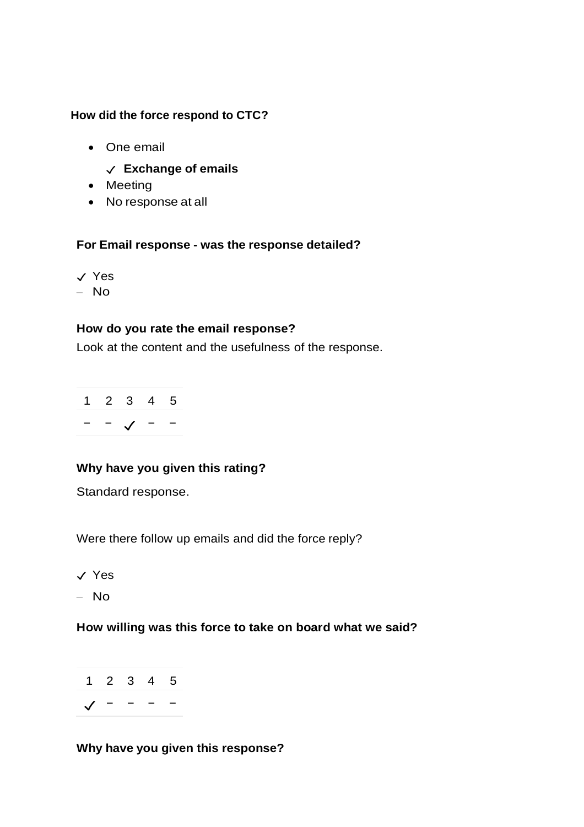#### **How did the force respond to CTC?**

- One email
	- ✓ **Exchange of emails**
- Meeting
- No response at all

#### **For Email response - was the response detailed?**

✓ Yes – No

#### **How do you rate the email response?**

Look at the content and the usefulness of the response.

|  | 1 2 3 | 4 5 |  |
|--|-------|-----|--|
|  |       |     |  |

## **Why have you given this rating?**

Standard response.

Were there follow up emails and did the force reply?

✓ Yes

– No

#### **How willing was this force to take on board what we said?**



#### **Why have you given this response?**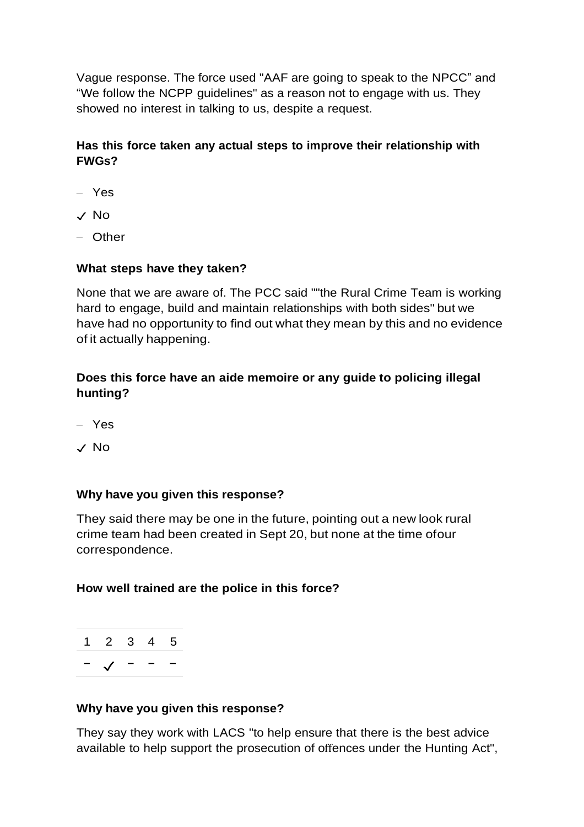Vague response. The force used "AAF are going to speak to the NPCC" and "We follow the NCPP guidelines" as a reason not to engage with us. They showed no interest in talking to us, despite a request.

## **Has this force taken any actual steps to improve their relationship with FWGs?**

- Yes
- ✓ No
- Other

#### **What steps have they taken?**

None that we are aware of. The PCC said ""the Rural Crime Team is working hard to engage, build and maintain relationships with both sides" but we have had no opportunity to find out what they mean by this and no evidence of it actually happening.

## **Does this force have an aide memoire or any guide to policing illegal hunting?**

- Yes
- ✓ No

#### **Why have you given this response?**

They said there may be one in the future, pointing out a new look rural crime team had been created in Sept 20, but none at the time ofour correspondence.

#### **How well trained are the police in this force?**



#### **Why have you given this response?**

They say they work with LACS "to help ensure that there is the best advice available to help support the prosecution of offences under the Hunting Act",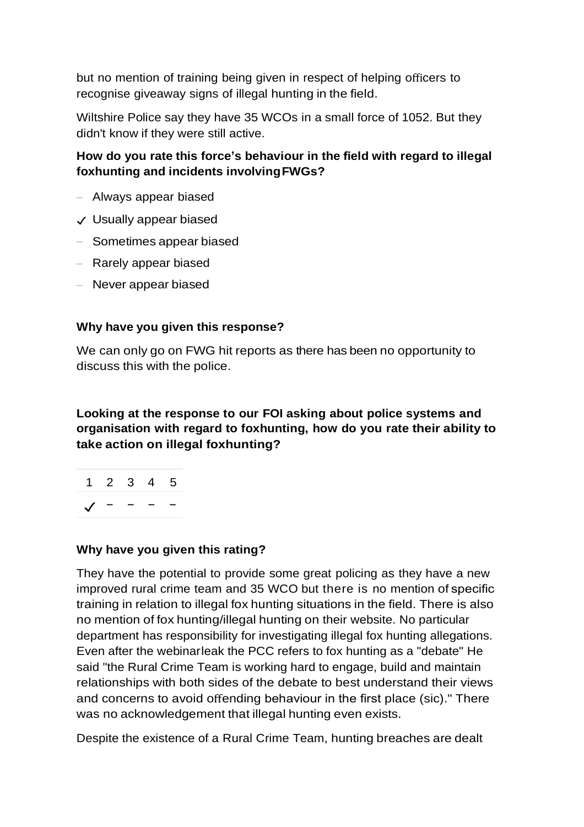but no mention of training being given in respect of helping officers to recognise giveaway signs of illegal hunting in the field.

Wiltshire Police say they have 35 WCOs in a small force of 1052. But they didn't know if they were still active.

### **How do you rate this force's behaviour in the field with regard to illegal foxhunting and incidents involvingFWGs?**

- Always appear biased
- ✓ Usually appear biased
- Sometimes appear biased
- Rarely appear biased
- Never appear biased

#### **Why have you given this response?**

We can only go on FWG hit reports as there has been no opportunity to discuss this with the police.

### **Looking at the response to our FOI asking about police systems and organisation with regard to foxhunting, how do you rate their ability to take action on illegal foxhunting?**



#### **Why have you given this rating?**

They have the potential to provide some great policing as they have a new improved rural crime team and 35 WCO but there is no mention of specific training in relation to illegal fox hunting situations in the field. There is also no mention of fox hunting/illegal hunting on their website. No particular department has responsibility for investigating illegal fox hunting allegations. Even after the webinarleak the PCC refers to fox hunting as a "debate" He said "the Rural Crime Team is working hard to engage, build and maintain relationships with both sides of the debate to best understand their views and concerns to avoid offending behaviour in the first place (sic)." There was no acknowledgement that illegal hunting even exists.

Despite the existence of a Rural Crime Team, hunting breaches are dealt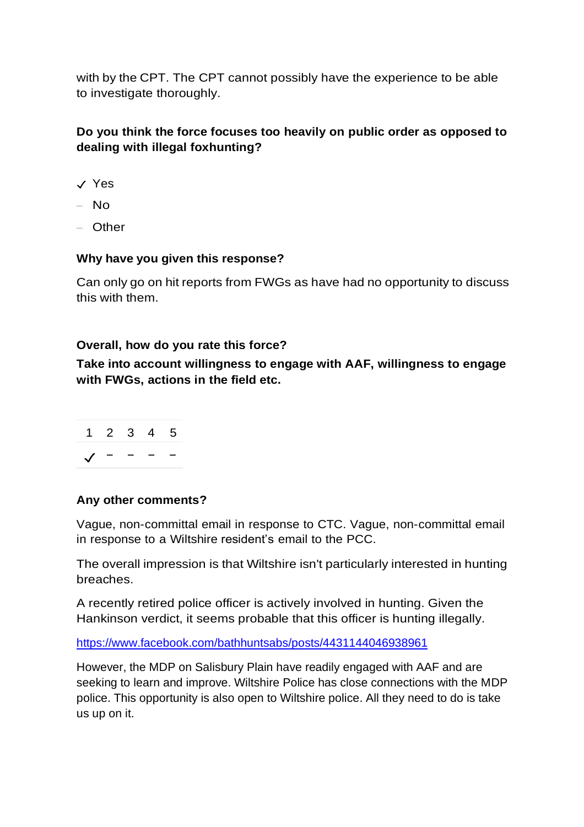with by the CPT. The CPT cannot possibly have the experience to be able to investigate thoroughly.

## **Do you think the force focuses too heavily on public order as opposed to dealing with illegal foxhunting?**

- ✓ Yes
- $-$  No
- Other

#### **Why have you given this response?**

Can only go on hit reports from FWGs as have had no opportunity to discuss this with them.

#### **Overall, how do you rate this force?**

**Take into account willingness to engage with AAF, willingness to engage with FWGs, actions in the field etc.**



#### **Any other comments?**

Vague, non-committal email in response to CTC. Vague, non-committal email in response to a Wiltshire resident's email to the PCC.

The overall impression is that Wiltshire isn't particularly interested in hunting breaches.

A recently retired police officer is actively involved in hunting. Given the Hankinson verdict, it seems probable that this officer is hunting illegally.

<https://www.facebook.com/bathhuntsabs/posts/4431144046938961>

However, the MDP on Salisbury Plain have readily engaged with AAF and are seeking to learn and improve. Wiltshire Police has close connections with the MDP police. This opportunity is also open to Wiltshire police. All they need to do is take us up on it.